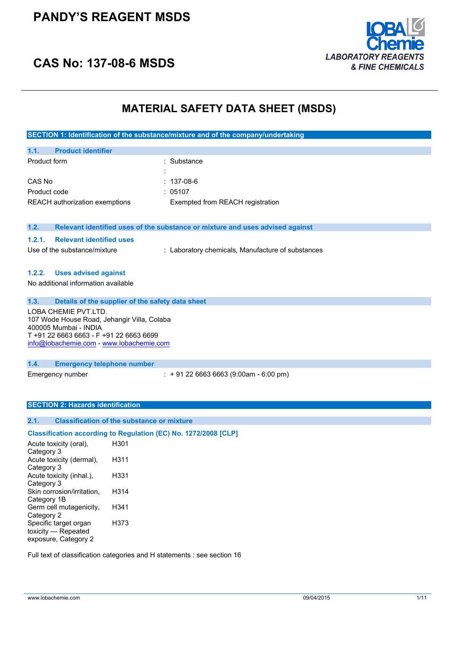### **PANDY'S REAGENT MSDS**



## **CAS No: 137-08-6 MSDS**

### **MATERIAL SAFETY DATA SHEET (MSDS)**

**SECTION 1: Identification of the substance/mixture and of the company/undertaking**

| 1.1.         | <b>Product identifier</b>      |                                  |
|--------------|--------------------------------|----------------------------------|
| Product form |                                | : Substance                      |
|              |                                | $\blacksquare$                   |
| CAS No       |                                | : 137-08-6                       |
| Product code |                                | : 05107                          |
|              | REACH authorization exemptions | Exempted from REACH registration |
|              |                                |                                  |

#### **1.2. Relevant identified uses of the substance or mixture and uses advised against**

### **1.2.1. Relevant identified uses**

Use of the substance/mixture : Laboratory chemicals, Manufacture of substances

#### **1.2.2. Uses advised against**

No additional information available

**1.3. Details of the supplier of the safety data sheet**

LOBA CHEMIE PVT.LTD. 107 Wode House Road, Jehangir Villa, Colaba 400005 Mumbai - INDIA T +91 22 6663 6663 - F +91 22 6663 6699 [info@lobachemie.com](mailto:info@lobachemie.com) - <www.lobachemie.com>

**1.4. Emergency telephone number**

Emergency number : + 91 22 6663 6663 (9:00am - 6:00 pm)

### **SECTION 2: Hazards identification**

### **2.1. Classification of the substance or mixture**

### **Classification according to Regulation (EC) No. 1272/2008 [CLP]**

| Acute toxicity (oral),     | H301 |  |
|----------------------------|------|--|
| Category 3                 |      |  |
| Acute toxicity (dermal),   | H311 |  |
| Category 3                 |      |  |
| Acute toxicity (inhal.),   | H331 |  |
| Category 3                 |      |  |
| Skin corrosion/irritation, | H314 |  |
| Category 1B                |      |  |
| Germ cell mutagenicity,    | H341 |  |
| Category 2                 |      |  |
| Specific target organ      | H373 |  |
| toxicity — Repeated        |      |  |
| exposure, Category 2       |      |  |
|                            |      |  |

Full text of classification categories and H statements : see section 16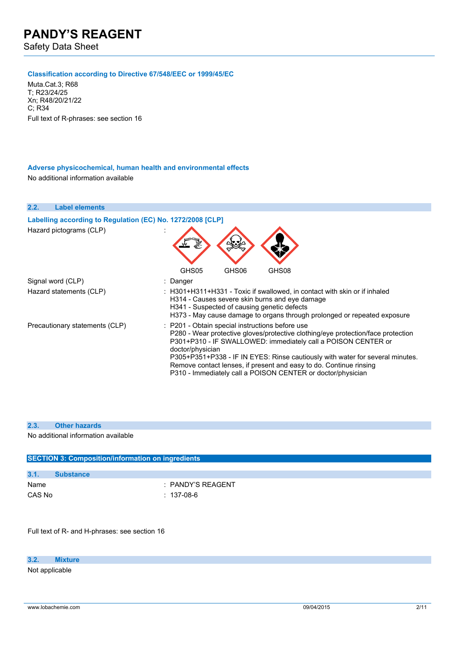Safety Data Sheet

### **Classification according to Directive 67/548/EEC or 1999/45/EC**

Muta.Cat.3; R68 T; R23/24/25 Xn; R48/20/21/22  $C:$  R34 Full text of R-phrases: see section 16

#### **Adverse physicochemical, human health and environmental effects**

No additional information available

**2.2. Label elements Labelling according to Regulation** (EC) No. 1272/2008 [CLP] Hazard pictograms (CLP) : GHS05 GHS06 GHS08 Signal word (CLP) : Danger Hazard statements (CLP) : H301+H311+H331 - Toxic if swallowed, in contact with skin or if inhaled H314 - Causes severe skin burns and eye damage H341 - Suspected of causing genetic defects H373 - May cause damage to organs through prolonged or repeated exposure Precautionary statements (CLP) : P201 - Obtain special instructions before use P280 - Wear protective gloves/protective clothing/eye protection/face protection P301+P310 - IF SWALLOWED: immediately call a POISON CENTER or doctor/physician P305+P351+P338 - IF IN EYES: Rinse cautiously with water for several minutes. Remove contact lenses, if present and easy to do. Continue rinsing P310 - Immediately call a POISON CENTER or doctor/physician

#### **2.3. Other hazards**

No additional information available

| <b>SECTION 3: Composition/information on ingredients</b> |                   |  |
|----------------------------------------------------------|-------------------|--|
|                                                          |                   |  |
| 3.1.                                                     | <b>Substance</b>  |  |
| Name                                                     | : PANDY'S REAGENT |  |
| CAS No                                                   | : 137-08-6        |  |

Full text of R- and H-phrases: see section 16

### **3.2. Mixture**

Not applicable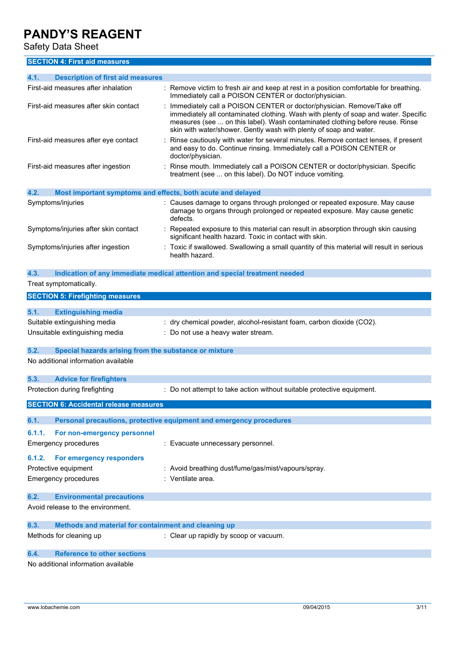Safety Data Sheet

**SECTION 4: First aid measures**

| <b>Description of first aid measures</b><br>4.1.              |                                                                                                                                                                                                                                                                                                                     |
|---------------------------------------------------------------|---------------------------------------------------------------------------------------------------------------------------------------------------------------------------------------------------------------------------------------------------------------------------------------------------------------------|
| First-aid measures after inhalation                           | : Remove victim to fresh air and keep at rest in a position comfortable for breathing.<br>Immediately call a POISON CENTER or doctor/physician.                                                                                                                                                                     |
| First-aid measures after skin contact                         | Immediately call a POISON CENTER or doctor/physician. Remove/Take off<br>immediately all contaminated clothing. Wash with plenty of soap and water. Specific<br>measures (see  on this label). Wash contaminated clothing before reuse. Rinse<br>skin with water/shower. Gently wash with plenty of soap and water. |
| First-aid measures after eye contact                          | Rinse cautiously with water for several minutes. Remove contact lenses, if present<br>and easy to do. Continue rinsing. Immediately call a POISON CENTER or<br>doctor/physician.                                                                                                                                    |
| First-aid measures after ingestion                            | Rinse mouth. Immediately call a POISON CENTER or doctor/physician. Specific<br>treatment (see  on this label). Do NOT induce vomiting.                                                                                                                                                                              |
| 4.2.                                                          | Most important symptoms and effects, both acute and delayed                                                                                                                                                                                                                                                         |
| Symptoms/injuries                                             | : Causes damage to organs through prolonged or repeated exposure. May cause<br>damage to organs through prolonged or repeated exposure. May cause genetic<br>defects.                                                                                                                                               |
| Symptoms/injuries after skin contact                          | : Repeated exposure to this material can result in absorption through skin causing<br>significant health hazard. Toxic in contact with skin.                                                                                                                                                                        |
| Symptoms/injuries after ingestion                             | : Toxic if swallowed. Swallowing a small quantity of this material will result in serious<br>health hazard.                                                                                                                                                                                                         |
| 4.3.                                                          | Indication of any immediate medical attention and special treatment needed                                                                                                                                                                                                                                          |
| Treat symptomatically.                                        |                                                                                                                                                                                                                                                                                                                     |
| <b>SECTION 5: Firefighting measures</b>                       |                                                                                                                                                                                                                                                                                                                     |
|                                                               |                                                                                                                                                                                                                                                                                                                     |
| 5.1.<br><b>Extinguishing media</b>                            |                                                                                                                                                                                                                                                                                                                     |
| Suitable extinguishing media                                  | : dry chemical powder, alcohol-resistant foam, carbon dioxide (CO2).                                                                                                                                                                                                                                                |
| Unsuitable extinguishing media                                | : Do not use a heavy water stream.                                                                                                                                                                                                                                                                                  |
| 5.2.<br>Special hazards arising from the substance or mixture |                                                                                                                                                                                                                                                                                                                     |
| No additional information available                           |                                                                                                                                                                                                                                                                                                                     |
| 5.3.<br><b>Advice for firefighters</b>                        |                                                                                                                                                                                                                                                                                                                     |
| Protection during firefighting                                | : Do not attempt to take action without suitable protective equipment.                                                                                                                                                                                                                                              |
| <b>SECTION 6: Accidental release measures</b>                 |                                                                                                                                                                                                                                                                                                                     |
| 6.1.                                                          | Personal precautions, protective equipment and emergency procedures                                                                                                                                                                                                                                                 |
|                                                               |                                                                                                                                                                                                                                                                                                                     |
| 6.1.1.<br>For non-emergency personnel                         |                                                                                                                                                                                                                                                                                                                     |
| Emergency procedures                                          | : Evacuate unnecessary personnel.                                                                                                                                                                                                                                                                                   |
| For emergency responders<br>6.1.2.                            |                                                                                                                                                                                                                                                                                                                     |
| Protective equipment                                          | : Avoid breathing dust/fume/gas/mist/vapours/spray.                                                                                                                                                                                                                                                                 |
| Emergency procedures                                          | : Ventilate area.                                                                                                                                                                                                                                                                                                   |
| 6.2.<br><b>Environmental precautions</b>                      |                                                                                                                                                                                                                                                                                                                     |
| Avoid release to the environment.                             |                                                                                                                                                                                                                                                                                                                     |
| 6.3.<br>Methods and material for containment and cleaning up  |                                                                                                                                                                                                                                                                                                                     |
| Methods for cleaning up                                       | : Clear up rapidly by scoop or vacuum.                                                                                                                                                                                                                                                                              |
| <b>Reference to other sections</b><br>6.4.                    |                                                                                                                                                                                                                                                                                                                     |

No additional information available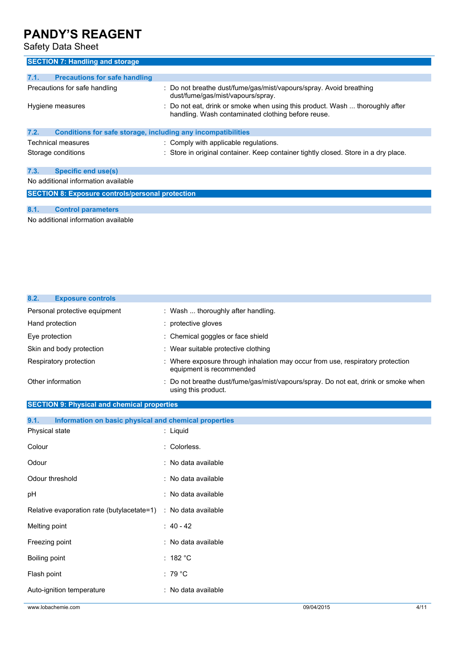Safety Data Sheet

| <b>SECTION 7: Handling and storage</b>                               |                                                                                                                                    |  |  |
|----------------------------------------------------------------------|------------------------------------------------------------------------------------------------------------------------------------|--|--|
| <b>Precautions for safe handling</b><br>7.1.                         |                                                                                                                                    |  |  |
| Precautions for safe handling                                        | : Do not breathe dust/fume/gas/mist/vapours/spray. Avoid breathing<br>dust/fume/gas/mist/vapours/spray.                            |  |  |
| Hygiene measures                                                     | : Do not eat, drink or smoke when using this product. Wash  thoroughly after<br>handling. Wash contaminated clothing before reuse. |  |  |
| Conditions for safe storage, including any incompatibilities<br>7.2. |                                                                                                                                    |  |  |
| Technical measures                                                   | : Comply with applicable regulations.                                                                                              |  |  |
| Storage conditions                                                   | : Store in original container. Keep container tightly closed. Store in a dry place.                                                |  |  |
| 7.3.<br>Specific end use(s)                                          |                                                                                                                                    |  |  |
| No additional information available                                  |                                                                                                                                    |  |  |
| <b>SECTION 8: Exposure controls/personal protection</b>              |                                                                                                                                    |  |  |
| 8.1.<br><b>Control parameters</b>                                    |                                                                                                                                    |  |  |
| No additional information available                                  |                                                                                                                                    |  |  |

| 8.2.<br><b>Exposure controls</b>                              |  |                                                                                                            |
|---------------------------------------------------------------|--|------------------------------------------------------------------------------------------------------------|
| Personal protective equipment                                 |  | : Wash  thoroughly after handling.                                                                         |
| Hand protection                                               |  | : protective gloves                                                                                        |
| Eye protection                                                |  | : Chemical goggles or face shield                                                                          |
| Skin and body protection                                      |  | : Wear suitable protective clothing                                                                        |
| Respiratory protection                                        |  | : Where exposure through inhalation may occur from use, respiratory protection<br>equipment is recommended |
| Other information                                             |  | Do not breathe dust/fume/gas/mist/vapours/spray. Do not eat, drink or smoke when<br>using this product.    |
| <b>SECTION 9: Physical and chemical properties</b>            |  |                                                                                                            |
| 9.1.<br>Information on basic physical and chemical properties |  |                                                                                                            |
| Physical state                                                |  | : Liquid                                                                                                   |
| Colour                                                        |  | : Colorless.                                                                                               |
| Odour                                                         |  | : No data available                                                                                        |
| Odour threshold                                               |  | : No data available                                                                                        |
| pH                                                            |  | : No data available                                                                                        |
| Relative evaporation rate (butylacetate=1)                    |  | : No data available                                                                                        |
| Melting point                                                 |  | : $40 - 42$                                                                                                |
| Freezing point                                                |  | : No data available                                                                                        |
| <b>Boiling point</b>                                          |  | : 182 °C                                                                                                   |
| Flash point                                                   |  | $:79^{\circ}$ C                                                                                            |
| Auto-ignition temperature                                     |  | : No data available                                                                                        |
| www.lobachemie.com                                            |  | 4/11<br>09/04/2015                                                                                         |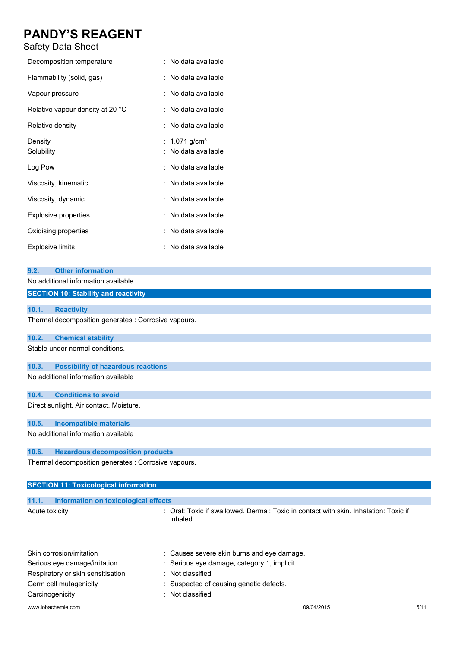### Safety Data Sheet

| Decomposition temperature        | : No data available       |
|----------------------------------|---------------------------|
| Flammability (solid, gas)        | : No data available       |
| Vapour pressure                  | : No data available       |
| Relative vapour density at 20 °C | : No data available       |
| Relative density                 | : No data available       |
| Density                          | : 1.071 g/cm <sup>3</sup> |
| Solubility                       | : No data available       |
| Log Pow                          | : No data available       |
| Viscosity, kinematic             | : No data available       |
| Viscosity, dynamic               | : No data available       |
| <b>Explosive properties</b>      | : No data available       |
| Oxidising properties             | : No data available       |
| <b>Explosive limits</b>          | : No data available       |

No additional information available

**SECTION 10: Stability and reactivity**

### **10.1. Reactivity**

Thermal decomposition generates : Corrosive vapours.

#### **10.2. Chemical stability**

Stable under normal conditions.

### **10.3. Possibility of hazardous reactions**

No additional information available

#### **10.4. Conditions to avoid**

Direct sunlight. Air contact. Moisture.

#### **10.5. Incompatible materials**

No additional information available

### **10.6. Hazardous decomposition products**

Thermal decomposition generates : Corrosive vapours.

| <b>SECTION 11: Toxicological information</b>               |                                                                                                  |  |
|------------------------------------------------------------|--------------------------------------------------------------------------------------------------|--|
|                                                            |                                                                                                  |  |
| 11.1. Information on toxicological effects                 |                                                                                                  |  |
| Acute toxicity                                             | : Oral: Toxic if swallowed. Dermal: Toxic in contact with skin. Inhalation: Toxic if<br>inhaled. |  |
| Skin corrosion/irritation<br>Serious eve damage/irritation | : Causes severe skin burns and eye damage.<br>$\cdot$ Serious eve damage category 1 implicit     |  |

Serious eye damage/irritation : Serious eye damage, category 1, implicit Respiratory or skin sensitisation : Not classified Germ cell mutagenicity **Suspected of causing genetic defects.** Carcinogenicity **Carcinogenicity** : Not classified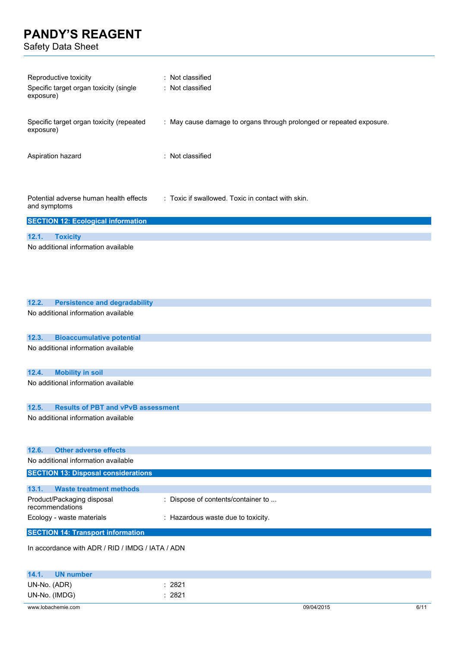Safety Data Sheet

| Reproductive toxicity<br>Specific target organ toxicity (single<br>exposure)         | Not classified<br>Not classified                                     |
|--------------------------------------------------------------------------------------|----------------------------------------------------------------------|
| Specific target organ toxicity (repeated<br>exposure)                                | : May cause damage to organs through prolonged or repeated exposure. |
| Aspiration hazard                                                                    | : Not classified                                                     |
| Potential adverse human health effects<br>and symptoms                               | : Toxic if swallowed. Toxic in contact with skin.                    |
| <b>SECTION 12: Ecological information</b>                                            |                                                                      |
| 12.1.<br><b>Toxicity</b>                                                             |                                                                      |
| No additional information available                                                  |                                                                      |
| <b>Persistence and degradability</b><br>12.2.<br>No additional information available |                                                                      |
| 12.3.<br><b>Bioaccumulative potential</b>                                            |                                                                      |
| No additional information available                                                  |                                                                      |
| <b>Mobility in soil</b><br>12.4.                                                     |                                                                      |
| No additional information available                                                  |                                                                      |
| 12.5.<br><b>Results of PBT and vPvB assessment</b>                                   |                                                                      |
| No additional information available                                                  |                                                                      |
| <b>Other adverse effects</b><br>12.6.                                                |                                                                      |
| No additional information available                                                  |                                                                      |
| <b>SECTION 13: Disposal considerations</b>                                           |                                                                      |
| <b>Waste treatment methods</b><br>13.1.                                              |                                                                      |
| Product/Packaging disposal<br>recommendations                                        | Dispose of contents/container to                                     |
| Ecology - waste materials                                                            | : Hazardous waste due to toxicity.                                   |
| <b>SECTION 14: Transport information</b>                                             |                                                                      |
| In accordance with ADR / RID / IMDG / IATA / ADN                                     |                                                                      |

| 14.1.              | UN number |            |      |
|--------------------|-----------|------------|------|
| UN-No. (ADR)       | 2821      |            |      |
| UN-No. (IMDG)      | 2821      |            |      |
| www.lobachemie.com |           | 09/04/2015 | 6/11 |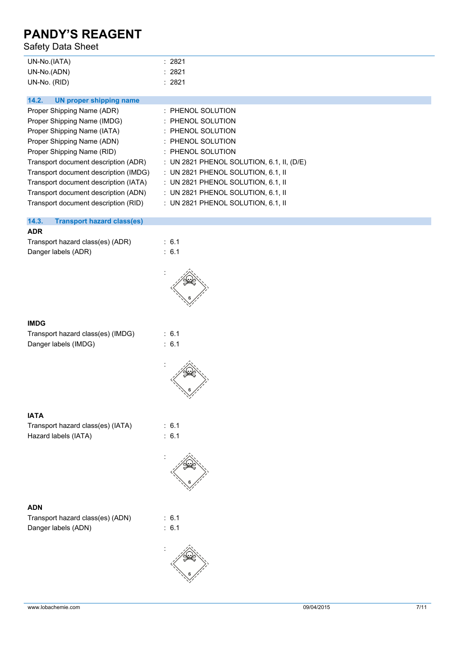### Safety Data Sheet

| UN-No.(IATA) | 2821 |
|--------------|------|
| UN-No.(ADN)  | 2821 |
| UN-No. (RID) | 2821 |

| Proper Shipping Name (ADR)            | : PHENOL SOLUTION                         |
|---------------------------------------|-------------------------------------------|
| Proper Shipping Name (IMDG)           | $:$ PHENOL SOLUTION                       |
| Proper Shipping Name (IATA)           | : PHENOL SOLUTION                         |
| Proper Shipping Name (ADN)            | $:$ PHENOL SOLUTION                       |
| Proper Shipping Name (RID)            | $:$ PHENOL SOLUTION                       |
| Transport document description (ADR)  | : UN 2821 PHENOL SOLUTION, 6.1, II, (D/E) |
| Transport document description (IMDG) | : UN 2821 PHENOL SOLUTION, 6.1, II        |
| Transport document description (IATA) | : UN 2821 PHENOL SOLUTION, 6.1, II        |
| Transport document description (ADN)  | : UN 2821 PHENOL SOLUTION, 6.1, II        |
| Transport document description (RID)  | : UN 2821 PHENOL SOLUTION, 6.1, II        |
|                                       |                                           |

### **14.3. Transport hazard class(es)**

### **ADR**

| Transport hazard class(es) (ADR) | : $6.1$          |
|----------------------------------|------------------|
| Danger labels (ADR)              | $\therefore$ 6.1 |



### **IMDG**

| Transport hazard class(es) (IMDG) |  |
|-----------------------------------|--|
| Danger labels (IMDG)              |  |

 $: 6.1$  $\therefore$  6.1



### **IATA**

| Transport hazard class(es) (IATA) |  |
|-----------------------------------|--|
| Hazard labels (IATA)              |  |

### **ADN**

| Transport hazard class(es) (ADN) |  |
|----------------------------------|--|
| Danger labels (ADN)              |  |





 $\therefore$  6.1  $: 6.1$ 

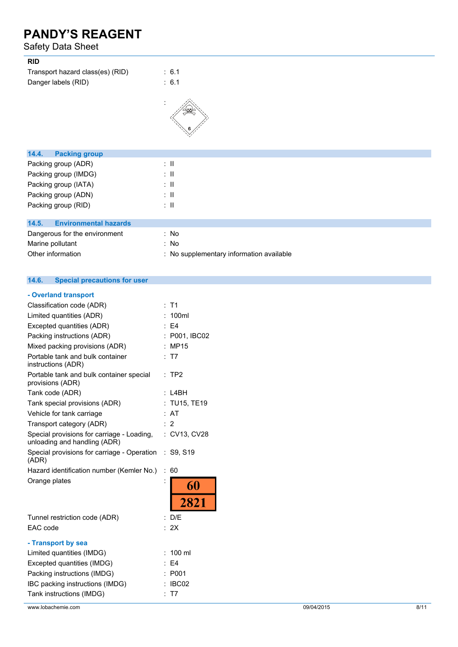### Safety Data Sheet

| <b>RID</b>                            |                          |
|---------------------------------------|--------------------------|
| Transport hazard class(es) (RID)      | : 6.1                    |
| Danger labels (RID)                   | : 6.1                    |
|                                       |                          |
| 14.4.<br><b>Packing group</b>         |                          |
| Packing group (ADR)                   | $\therefore$ II          |
| Packing group (IMDG)                  | $\therefore$ 11          |
| Packing group (IATA)                  | $\therefore$ $\parallel$ |
| Packing group (ADN)                   | $\therefore$ 11          |
| Packing group (RID)                   | $\therefore$ 11          |
|                                       |                          |
| <b>Environmental hazards</b><br>14.5. |                          |
| Dangerous for the environment         | : No                     |
| Marine pollutant                      | : No                     |

| 14.6. | Special precautions for user |  |
|-------|------------------------------|--|

Other information **contact to the COSE contact information available** : No supplementary information available

### **- Overland transport**

| Classification code (ADR)<br>Limited quantities (ADR)<br>Excepted quantities (ADR)<br>Packing instructions (ADR) | $:$ T1<br>100ml<br>E4<br>P001, IBC02 |
|------------------------------------------------------------------------------------------------------------------|--------------------------------------|
| Mixed packing provisions (ADR)                                                                                   | : MP15                               |
| Portable tank and bulk container<br>instructions (ADR)                                                           | : T7                                 |
| Portable tank and bulk container special<br>provisions (ADR)                                                     | $:$ TP2                              |
| Tank code (ADR)                                                                                                  | L4BH<br>t                            |
| Tank special provisions (ADR)                                                                                    | : TU15, TE19                         |
| Vehicle for tank carriage                                                                                        | : AT                                 |
| Transport category (ADR)                                                                                         | $\cdot$ 2                            |
| Special provisions for carriage - Loading,<br>unloading and handling (ADR)                                       | : CV13, CV28                         |
| Special provisions for carriage - Operation<br>(ADR)                                                             | S9, S19<br>$\ddot{\phantom{a}}$      |
| Hazard identification number (Kemler No.)                                                                        | 60<br>$\ddot{\phantom{a}}$           |
| Orange plates                                                                                                    | $\ddot{\phantom{0}}$<br>60           |
|                                                                                                                  | 2821                                 |
| Tunnel restriction code (ADR)                                                                                    | D/E                                  |
| EAC code                                                                                                         | 2X                                   |
| - Transport by sea                                                                                               |                                      |
| Limited quantities (IMDG)                                                                                        | $100$ ml                             |
| Excepted quantities (IMDG)                                                                                       | E4                                   |
| Packing instructions (IMDG)                                                                                      | P001                                 |
| IBC packing instructions (IMDG)                                                                                  | IBC02                                |
| Tank instructions (IMDG)                                                                                         | T7                                   |

www.lobachemie.com 09/04/2015 8/11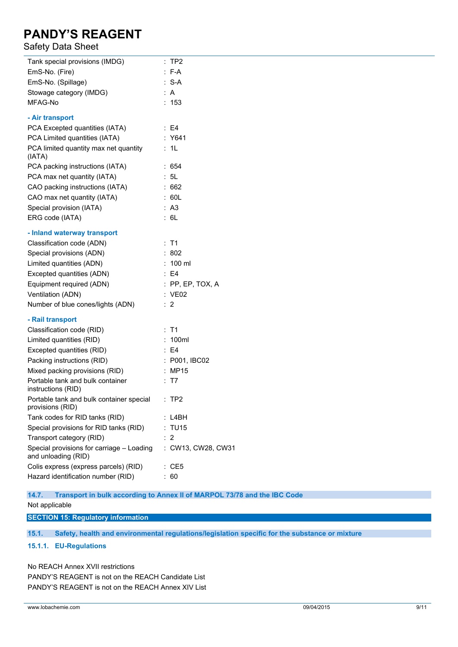### Safety Data Sheet

| Tank special provisions (IMDG)                                   | :TP2               |
|------------------------------------------------------------------|--------------------|
| EmS-No. (Fire)                                                   | $: F-A$            |
| EmS-No. (Spillage)                                               | $: S-A$            |
| Stowage category (IMDG)                                          | : A                |
| MFAG-No                                                          | : 153              |
| - Air transport                                                  |                    |
| PCA Excepted quantities (IATA)                                   | $\therefore$ E4    |
| PCA Limited quantities (IATA)                                    | : Y641             |
| PCA limited quantity max net quantity<br>(IATA)                  | : 1L               |
| PCA packing instructions (IATA)                                  | : 654              |
| PCA max net quantity (IATA)                                      | : 5L               |
| CAO packing instructions (IATA)                                  | :662               |
| CAO max net quantity (IATA)                                      | : 60L              |
| Special provision (IATA)                                         | : A3               |
| ERG code (IATA)                                                  | : 6L               |
| - Inland waterway transport                                      |                    |
| Classification code (ADN)                                        | : T1               |
| Special provisions (ADN)                                         | : 802              |
| Limited quantities (ADN)                                         | $: 100$ ml         |
| Excepted quantities (ADN)                                        | $\therefore$ E4    |
| Equipment required (ADN)                                         | $:$ PP, EP, TOX, A |
| Ventilation (ADN)                                                | : VE02             |
| Number of blue cones/lights (ADN)                                | $\therefore$ 2     |
| - Rail transport                                                 |                    |
| Classification code (RID)                                        | $:$ T1             |
| Limited quantities (RID)                                         | : 100ml            |
| Excepted quantities (RID)                                        | $\therefore$ E4    |
| Packing instructions (RID)                                       | : P001, IBC02      |
| Mixed packing provisions (RID)                                   | : MP15             |
| Portable tank and bulk container<br>instructions (RID)           | : T7               |
| Portable tank and bulk container special<br>provisions (RID)     | $:$ TP2            |
| Tank codes for RID tanks (RID)                                   | : L4BH             |
| Special provisions for RID tanks (RID)                           | : TU15             |
| Transport category (RID)                                         | : 2                |
| Special provisions for carriage - Loading<br>and unloading (RID) | : CW13, CW28, CW31 |
| Colis express (express parcels) (RID)                            | : CE5              |
| Hazard identification number (RID)                               | : 60               |
|                                                                  |                    |

**14.7. Transport in bulk according to Annex II of MARPOL 73/78 and the IBC Code**

Not applicable

**SECTION 15: Regulatory information**

**15.1. Safety, health and environmental regulations/legislation specific for the substance or mixture**

### **15.1.1. EU-Regulations**

No REACH Annex XVII restrictions PANDY'S REAGENT is not on the REACH Candidate List PANDY'S REAGENT is not on the REACH Annex XIV List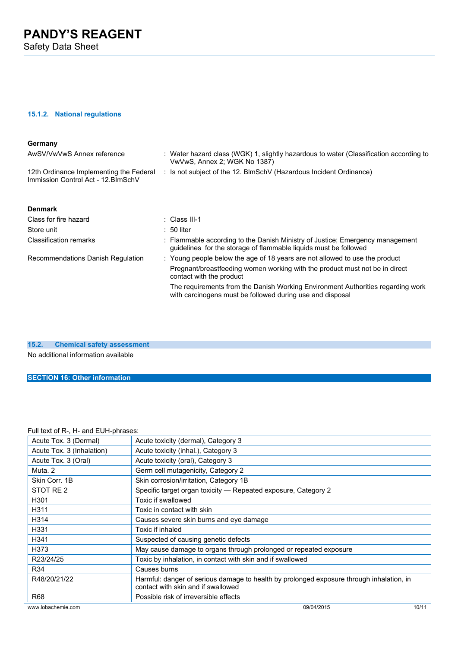Safety Data Sheet

### **15.1.2. National regulations**

### **Germany**

| AwSV/VwVwS Annex reference                                                     | : Water hazard class (WGK) 1, slightly hazardous to water (Classification according to<br>VwVwS, Annex 2; WGK No 1387)                            |
|--------------------------------------------------------------------------------|---------------------------------------------------------------------------------------------------------------------------------------------------|
| 12th Ordinance Implementing the Federal<br>Immission Control Act - 12. BlmSchV | : Is not subject of the 12. BlmSchV (Hazardous Incident Ordinance)                                                                                |
| <b>Denmark</b>                                                                 |                                                                                                                                                   |
| Class for fire hazard                                                          | : Class III-1                                                                                                                                     |
| Store unit                                                                     | $: 50$ liter                                                                                                                                      |
| <b>Classification remarks</b>                                                  | : Flammable according to the Danish Ministry of Justice; Emergency management<br>quidelines for the storage of flammable liquids must be followed |
| Recommendations Danish Regulation                                              | : Young people below the age of 18 years are not allowed to use the product                                                                       |
|                                                                                | Pregnant/breastfeeding women working with the product must not be in direct<br>contact with the product                                           |
|                                                                                | The requirements from the Danish Working Environment Authorities regarding work<br>with carcinogens must be followed during use and disposal      |

**15.2. Chemical safety assessment** No additional information available

## **SECTION 16: Other information**

### Full text of R-, H- and EUH-phrases:

| Acute Tox. 3 (Dermal)     | Acute toxicity (dermal), Category 3                                                                                            |
|---------------------------|--------------------------------------------------------------------------------------------------------------------------------|
| Acute Tox. 3 (Inhalation) | Acute toxicity (inhal.), Category 3                                                                                            |
| Acute Tox. 3 (Oral)       | Acute toxicity (oral), Category 3                                                                                              |
| Muta <sub>.2</sub>        | Germ cell mutagenicity, Category 2                                                                                             |
| Skin Corr, 1B             | Skin corrosion/irritation, Category 1B                                                                                         |
| STOT RE 2                 | Specific target organ toxicity - Repeated exposure, Category 2                                                                 |
| H <sub>301</sub>          | Toxic if swallowed                                                                                                             |
| H311                      | Toxic in contact with skin                                                                                                     |
| H314                      | Causes severe skin burns and eye damage                                                                                        |
| H331                      | Toxic if inhaled                                                                                                               |
| H341                      | Suspected of causing genetic defects                                                                                           |
| H373                      | May cause damage to organs through prolonged or repeated exposure                                                              |
| R23/24/25                 | Toxic by inhalation, in contact with skin and if swallowed                                                                     |
| R34                       | Causes burns                                                                                                                   |
| R48/20/21/22              | Harmful: danger of serious damage to health by prolonged exposure through inhalation, in<br>contact with skin and if swallowed |
| R <sub>68</sub>           | Possible risk of irreversible effects                                                                                          |
| www.lobachemie.com        | 09/04/2015<br>10/11                                                                                                            |